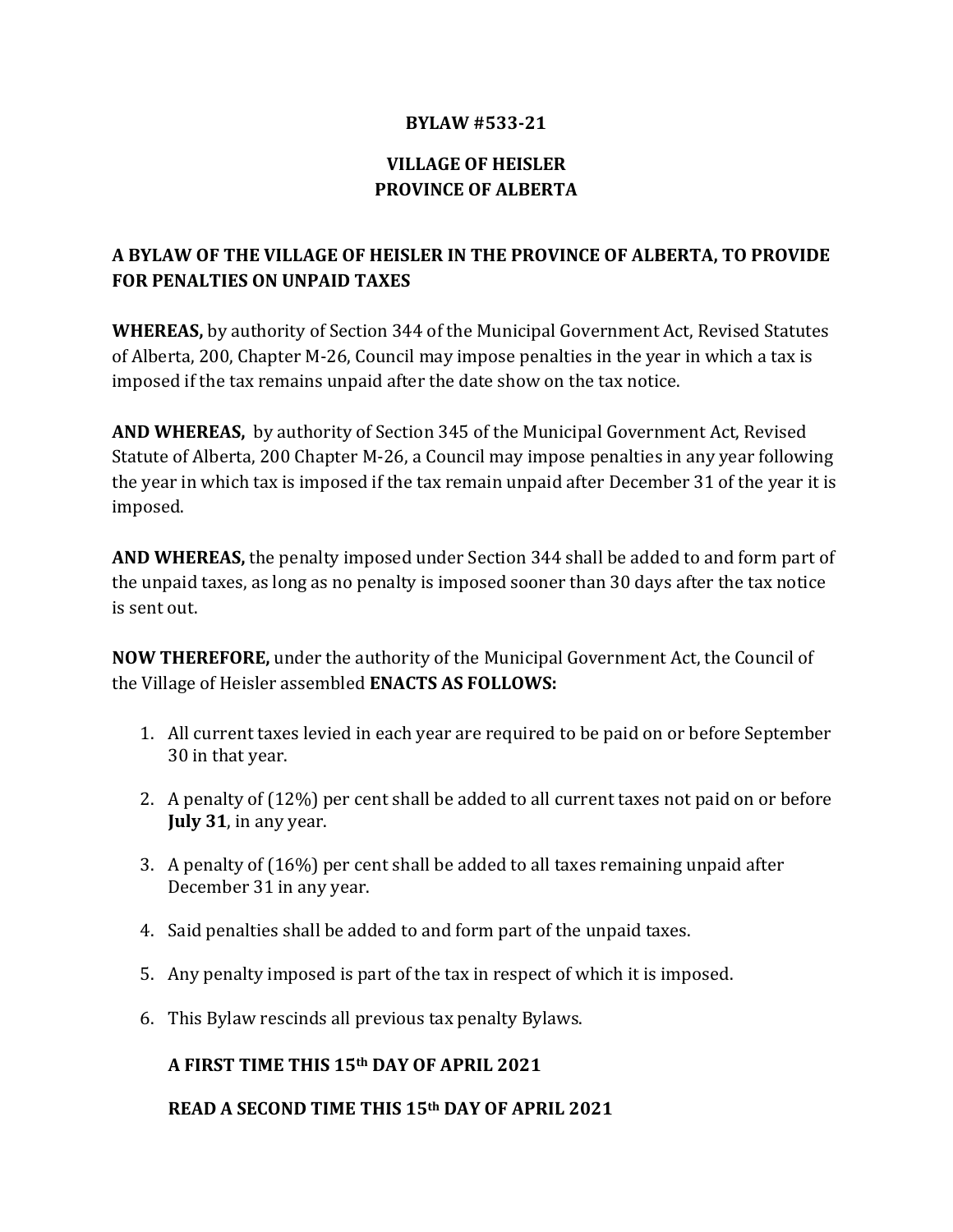### **BYLAW #533-21**

# **VILLAGE OF HEISLER PROVINCE OF ALBERTA**

# **A BYLAW OF THE VILLAGE OF HEISLER IN THE PROVINCE OF ALBERTA, TO PROVIDE FOR PENALTIES ON UNPAID TAXES**

**WHEREAS,** by authority of Section 344 of the Municipal Government Act, Revised Statutes of Alberta, 200, Chapter M-26, Council may impose penalties in the year in which a tax is imposed if the tax remains unpaid after the date show on the tax notice.

**AND WHEREAS,** by authority of Section 345 of the Municipal Government Act, Revised Statute of Alberta, 200 Chapter M-26, a Council may impose penalties in any year following the year in which tax is imposed if the tax remain unpaid after December 31 of the year it is imposed.

**AND WHEREAS,** the penalty imposed under Section 344 shall be added to and form part of the unpaid taxes, as long as no penalty is imposed sooner than 30 days after the tax notice is sent out.

**NOW THEREFORE,** under the authority of the Municipal Government Act, the Council of the Village of Heisler assembled **ENACTS AS FOLLOWS:**

- 1. All current taxes levied in each year are required to be paid on or before September 30 in that year.
- 2. A penalty of (12%) per cent shall be added to all current taxes not paid on or before **July 31**, in any year.
- 3. A penalty of (16%) per cent shall be added to all taxes remaining unpaid after December 31 in any year.
- 4. Said penalties shall be added to and form part of the unpaid taxes.
- 5. Any penalty imposed is part of the tax in respect of which it is imposed.
- 6. This Bylaw rescinds all previous tax penalty Bylaws.

## **A FIRST TIME THIS 15th DAY OF APRIL 2021**

### **READ A SECOND TIME THIS 15th DAY OF APRIL 2021**